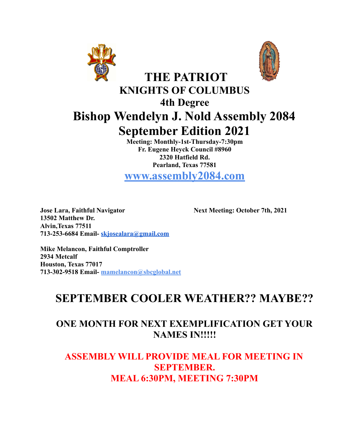



# **THE PATRIOT KNIGHTS OF COLUMBUS 4th Degree Bishop Wendelyn J. Nold Assembly 2084 September Edition 2021**

**Meeting: Monthly-1st-Thursday-7:30pm Fr. Eugene Heyck Council #8960 2320 Hatfield Rd. Pearland, Texas 77581**

**www.assembly2084.com**

**Jose Lara, Faithful Navigator Next Meeting: October 7th, 2021 13502 Matthew Dr. Alvin,Texas 77511 713-253-6684 Email- [skjosealara@gmail.com](mailto:skjosealara@gmail.com)**

**Mike Melancon, Faithful Comptroller 2934 Metcalf Houston, Texas 77017 713-302-9518 Email- mamelancon@sbcglobal.net**

# **SEPTEMBER COOLER WEATHER?? MAYBE??**

### **ONE MONTH FOR NEXT EXEMPLIFICATION GET YOUR NAMES IN!!!!!**

### **ASSEMBLY WILL PROVIDE MEAL FOR MEETING IN SEPTEMBER. MEAL 6:30PM, MEETING 7:30PM**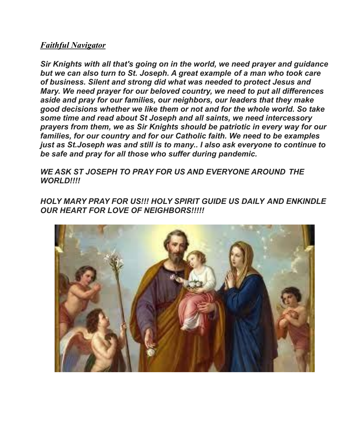#### *Faithful Navigator*

*Sir Knights with all that's going on in the world, we need prayer and guidance but we can also turn to St. Joseph. A great example of a man who took care of business. Silent and strong did what was needed to protect Jesus and Mary. We need prayer for our beloved country, we need to put all differences aside and pray for our families, our neighbors, our leaders that they make good decisions whether we like them or not and for the whole world. So take some time and read about St Joseph and all saints, we need intercessory prayers from them, we as Sir Knights should be patriotic in every way for our families, for our country and for our Catholic faith. We need to be examples just as St.Joseph was and still is to many.. I also ask everyone to continue to be safe and pray for all those who suffer during pandemic.*

*WE ASK ST JOSEPH TO PRAY FOR US AND EVERYONE AROUND THE WORLD!!!!*

*HOLY MARY PRAY FOR US!!! HOLY SPIRIT GUIDE US DAILY AND ENKINDLE OUR HEART FOR LOVE OF NEIGHBORS!!!!!*

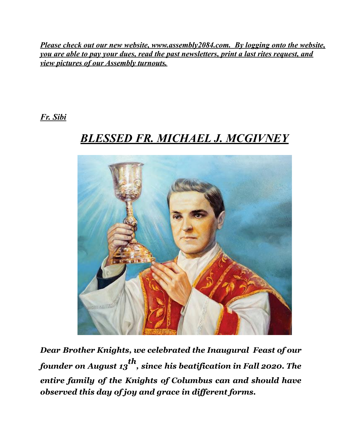*Please check out our new website, www.assembly2084.com. By logging onto the website, you are able to pay your dues, read the past newsletters, print a last rites request, and view pictures of our Assembly turnouts.*

*Fr. Sibi*

# *BLESSED FR. MICHAEL J. MCGIVNEY*



*Dear Brother Knights, we celebrated the Inaugural Feast of our founder on August 13 th , since his beatification in Fall 2020. The entire family of the Knights of Columbus can and should have observed this day of joy and grace in dif erent forms.*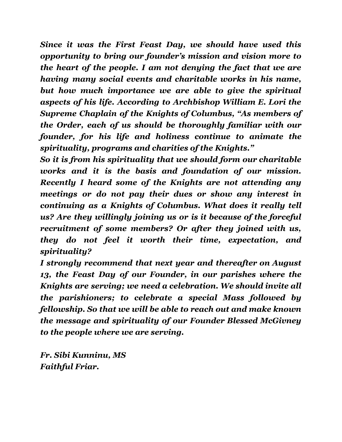*Since it was the First Feast Day, we should have used this opportunity to bring our founder's mission and vision more to the heart of the people. I am not denying the fact that we are having many social events and charitable works in his name, but how much importance we are able to give the spiritual aspects of his life. According to Archbishop William E. Lori the Supreme Chaplain of the Knights of Columbus, "As members of the Order, each of us should be thoroughly familiar with our founder, for his life and holiness continue to animate the spirituality, programs and charities of the Knights."*

*So it is from his spirituality that we should form our charitable works and it is the basis and foundation of our mission. Recently I heard some of the Knights are not attending any meetings or do not pay their dues or show any interest in continuing as a Knights of Columbus. What does it really tell us? Are they willingly joining us or is it because of the forceful recruitment of some members? Or after they joined with us, they do not feel it worth their time, expectation, and spirituality?*

*I strongly recommend that next year and thereafter on August 13, the Feast Day of our Founder, in our parishes where the Knights are serving; we need a celebration. We should invite all the parishioners; to celebrate a special Mass followed by fellowship. So that we will be able to reach out and make known the message and spirituality of our Founder Blessed McGivney to the people where we are serving.*

*Fr. Sibi Kunninu, MS Faithful Friar.*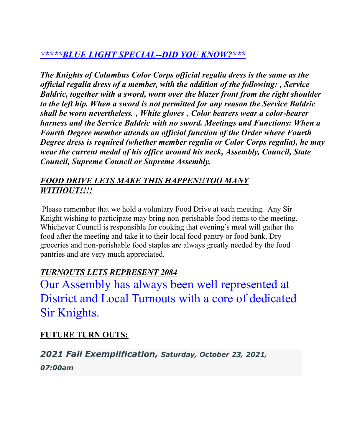### *\*\*\*\*\*BLUE LIGHT SPECIAL--DID YOU KNOW?\*\*\**

*The Knights of Columbus Color Corps official regalia dress is the same as the official regalia dress of a member, with the addition of the following: ' Service Baldric, together with a sword, worn over the blazer front from the right shoulder to the left hip. When a sword is not permitted for any reason the Service Baldric shall be worn nevertheless. ' White gloves ' Color bearers wear a color-bearer harness and the Service Baldric with no sword. Meetings and Functions: When a Fourth Degree member attends an official function of the Order where Fourth Degree dress is required (whether member regalia or Color Corps regalia), he may wear the current medal of his office around his neck, Assembly, Council, State Council, Supreme Council or Supreme Assembly.*

### *FOOD DRIVE LETS MAKE THIS HAPPEN!!TOO MANY WITHOUT!!!!*

Please remember that we hold a voluntary Food Drive at each meeting. Any Sir Knight wishing to participate may bring non-perishable food items to the meeting. Whichever Council is responsible for cooking that evening's meal will gather the food after the meeting and take it to their local food pantry or food bank. Dry groceries and non-perishable food staples are always greatly needed by the food pantries and are very much appreciated.

### *TURNOUTS LETS REPRESENT 2084*

Our Assembly has always been well represented at District and Local Turnouts with a core of dedicated Sir Knights.

### **FUTURE TURN OUTS:**

*2021 Fall Exemplification, Saturday, October 23, 2021, 07:00am*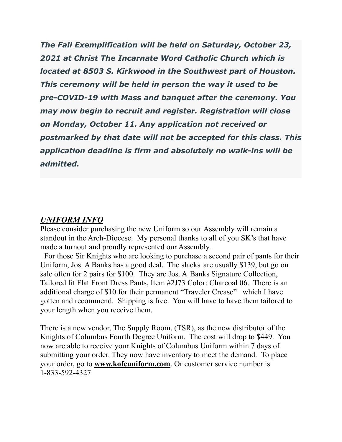*The Fall Exemplification will be held on Saturday, October 23, 2021 at Christ The Incarnate Word Catholic Church which is located at 8503 S. Kirkwood in the Southwest part of Houston. This ceremony will be held in person the way it used to be pre-COVID-19 with Mass and banquet after the ceremony. You may now begin to recruit and register. Registration will close on Monday, October 11. Any application not received or postmarked by that date will not be accepted for this class. This application deadline is firm and absolutely no walk-ins will be admitted.*

#### *UNIFORM INFO*

Please consider purchasing the new Uniform so our Assembly will remain a standout in the Arch-Diocese. My personal thanks to all of you SK's that have made a turnout and proudly represented our Assembly..

For those Sir Knights who are looking to purchase a second pair of pants for their Uniform, Jos. A Banks has a good deal. The slacks are usually \$139, but go on sale often for 2 pairs for \$100. They are Jos. A Banks Signature Collection, Tailored fit Flat Front Dress Pants, Item #2J73 Color: Charcoal 06. There is an additional charge of \$10 for their permanent "Traveler Crease" which I have gotten and recommend. Shipping is free. You will have to have them tailored to your length when you receive them.

There is a new vendor, The Supply Room, (TSR), as the new distributor of the Knights of Columbus Fourth Degree Uniform. The cost will drop to \$449. You now are able to receive your Knights of Columbus Uniform within 7 days of submitting your order. They now have inventory to meet the demand. To place your order, go to **www.kofcuniform.com**. Or customer service number is 1-833-592-4327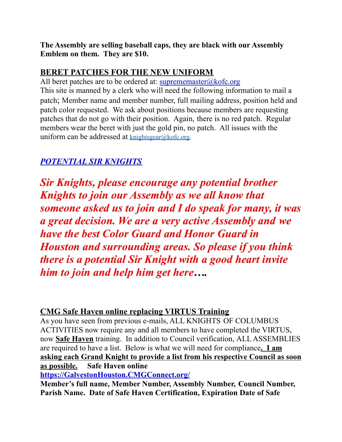**The Assembly are selling baseball caps, they are black with our Assembly Emblem on them. They are \$10.**

### **BERET PATCHES FOR THE NEW UNIFORM**

All beret patches are to be ordered at:  $suprememaster@kofc.org$ This site is manned by a clerk who will need the following information to mail a patch; Member name and member number, full mailing address, position held and patch color requested. We ask about positions because members are requesting patches that do not go with their position. Again, there is no red patch. Regular members wear the beret with just the gold pin, no patch. All issues with the uniform can be addressed at [knightsgear@kofc.org.](mailto:knightsgear@kofc.org)

### *POTENTIAL SIR KNIGHTS*

*Sir Knights, please encourage any potential brother Knights to join our Assembly as we all know that someone asked us to join and I do speak for many, it was a great decision. We are a very active Assembly and we have the best Color Guard and Honor Guard in Houston and surrounding areas. So please if you think there is a potential Sir Knight with a good heart invite him to join and help him get here….*

### **CMG Safe Haven online replacing VIRTUS Training**

As you have seen from previous e-mails, ALL KNIGHTS OF COLUMBUS ACTIVITIES now require any and all members to have completed the VIRTUS, now **Safe Haven** training. In addition to Council verification, ALL ASSEMBLIES are required to have a list. Below is what we will need for compliance**. I am asking each Grand Knight to provide a list from his respective Council as soon as possible. Safe Haven online**

**[https://GalvestonHouston.CMGConnect.org/](https://galvestonhouston.cmgconnect.org/)**

**Member's full name, Member Number, Assembly Number, Council Number, Parish Name. Date of Safe Haven Certification, Expiration Date of Safe**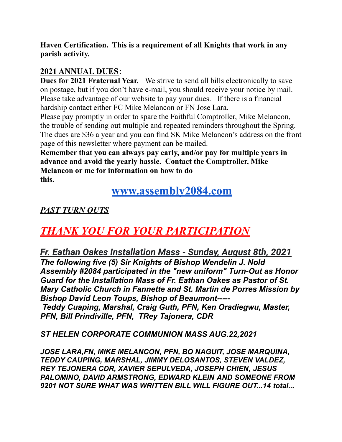**Haven Certification. This is a requirement of all Knights that work in any parish activity.**

### **2021 ANNUAL DUES**:

**Dues for 2021 Fraternal Year.** We strive to send all bills electronically to save on postage, but if you don't have e-mail, you should receive your notice by mail. Please take advantage of our website to pay your dues. If there is a financial hardship contact either FC Mike Melancon or FN Jose Lara.

Please pay promptly in order to spare the Faithful Comptroller, Mike Melancon, the trouble of sending out multiple and repeated reminders throughout the Spring. The dues are \$36 a year and you can find SK Mike Melancon's address on the front page of this newsletter where payment can be mailed.

**Remember that you can always pay early, and/or pay for multiple years in advance and avoid the yearly hassle. Contact the Comptroller, Mike Melancon or me for information on how to do this.**

### **[www.assembly2084.com](http://www.assembly2084.com)**

*PAST TURN OUTS*

# *THANK YOU FOR YOUR PARTICIPATION*

*Fr. Eathan Oakes Installation Mass - Sunday, August 8th, 2021 The following five (5) Sir Knights of Bishop Wendelin J. Nold Assembly #2084 participated in the "new uniform" Turn-Out as Honor Guard for the Installation Mass of Fr. Eathan Oakes as Pastor of St. Mary Catholic Church in Fannette and St. Martin de Porres Mission by Bishop David Leon Toups, Bishop of Beaumont----- Teddy Cuaping, Marshal, Craig Guth, PFN, Ken Oradiegwu, Master, PFN, Bill Prindiville, PFN, TRey Tajonera, CDR*

#### *ST HELEN CORPORATE COMMUNION MASS AUG.22,2021*

*JOSE LARA,FN, MIKE MELANCON, PFN, BO NAGUIT, JOSE MARQUINA, TEDDY CAUPING, MARSHAL, JIMMY DELOSANTOS, STEVEN VALDEZ, REY TEJONERA CDR, XAVIER SEPULVEDA, JOSEPH CHIEN, JESUS PALOMINO, DAVID ARMSTRONG, EDWARD KLEIN AND SOMEONE FROM 9201 NOT SURE WHAT WAS WRITTEN BILL WILL FIGURE OUT...14 total...*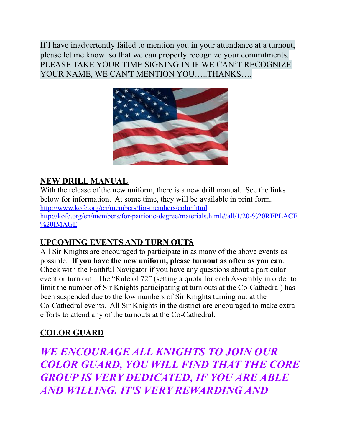If I have inadvertently failed to mention you in your attendance at a turnout, please let me know so that we can properly recognize your commitments. PLEASE TAKE YOUR TIME SIGNING IN IF WE CAN'T RECOGNIZE YOUR NAME, WE CAN'T MENTION YOU…..THANKS….



### **NEW DRILL MANUAL**

With the release of the new uniform, there is a new drill manual. See the links below for information. At some time, they will be available in print form. <http://www.kofc.org/en/members/for-members/color.html> [http://kofc.org/en/members/for-patriotic-degree/materials.html#/all/1/20-%20REPLACE](http://kofc.org/en/members/for-patriotic-degree/materials.html#/all/1/20-%20REPLACE%20IMAGE) [%20IMAGE](http://kofc.org/en/members/for-patriotic-degree/materials.html#/all/1/20-%20REPLACE%20IMAGE)

### **UPCOMING EVENTS AND TURN OUTS**

All Sir Knights are encouraged to participate in as many of the above events as possible. **If you have the new uniform, please turnout as often as you can**. Check with the Faithful Navigator if you have any questions about a particular event or turn out. The "Rule of 72" (setting a quota for each Assembly in order to limit the number of Sir Knights participating at turn outs at the Co-Cathedral) has been suspended due to the low numbers of Sir Knights turning out at the Co-Cathedral events. All Sir Knights in the district are encouraged to make extra efforts to attend any of the turnouts at the Co-Cathedral.

### **COLOR GUARD**

*WE ENCOURAGE ALL KNIGHTS TO JOIN OUR COLOR GUARD, YOU WILL FIND THAT THE CORE GROUP IS VERY DEDICATED, IF YOU ARE ABLE AND WILLING. IT'S VERY REWARDING AND*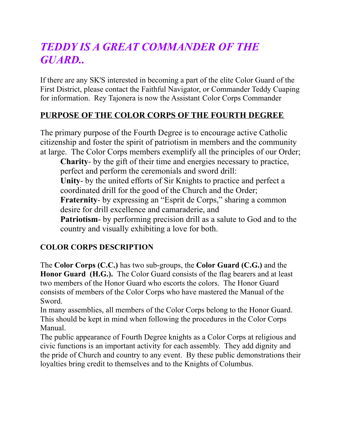# *TEDDY IS A GREAT COMMANDER OF THE GUARD..*

If there are any SK'S interested in becoming a part of the elite Color Guard of the First District, please contact the Faithful Navigator, or Commander Teddy Cuaping for information. Rey Tajonera is now the Assistant Color Corps Commander

### **PURPOSE OF THE COLOR CORPS OF THE FOURTH DEGREE**

The primary purpose of the Fourth Degree is to encourage active Catholic citizenship and foster the spirit of patriotism in members and the community at large. The Color Corps members exemplify all the principles of our Order;

**Charity**- by the gift of their time and energies necessary to practice, perfect and perform the ceremonials and sword drill: **Unity**- by the united efforts of Sir Knights to practice and perfect a coordinated drill for the good of the Church and the Order; **Fraternity-** by expressing an "Esprit de Corps," sharing a common desire for drill excellence and camaraderie, and **Patriotism**- by performing precision drill as a salute to God and to the country and visually exhibiting a love for both.

#### **COLOR CORPS DESCRIPTION**

The **Color Corps (C.C.)** has two sub-groups, the **Color Guard (C.G.)** and the **Honor Guard (H.G.).** The Color Guard consists of the flag bearers and at least two members of the Honor Guard who escorts the colors. The Honor Guard consists of members of the Color Corps who have mastered the Manual of the Sword.

In many assemblies, all members of the Color Corps belong to the Honor Guard. This should be kept in mind when following the procedures in the Color Corps Manual.

The public appearance of Fourth Degree knights as a Color Corps at religious and civic functions is an important activity for each assembly. They add dignity and the pride of Church and country to any event. By these public demonstrations their loyalties bring credit to themselves and to the Knights of Columbus.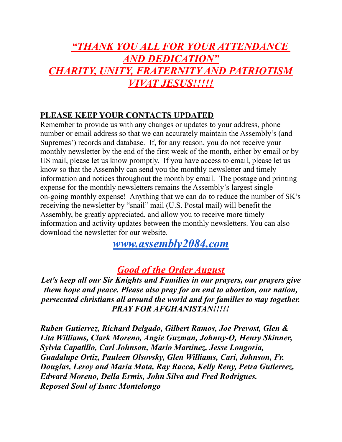# *"THANK YOU ALL FOR YOUR ATTENDANCE AND DEDICATION" CHARITY, UNITY, FRATERNITY AND PATRIOTISM VIVAT JESUS!!!!!*

#### **PLEASE KEEP YOUR CONTACTS UPDATED**

Remember to provide us with any changes or updates to your address, phone number or email address so that we can accurately maintain the Assembly's (and Supremes') records and database. If, for any reason, you do not receive your monthly newsletter by the end of the first week of the month, either by email or by US mail, please let us know promptly. If you have access to email, please let us know so that the Assembly can send you the monthly newsletter and timely information and notices throughout the month by email. The postage and printing expense for the monthly newsletters remains the Assembly's largest single on-going monthly expense! Anything that we can do to reduce the number of SK's receiving the newsletter by "snail" mail (U.S. Postal mail) will benefit the Assembly, be greatly appreciated, and allow you to receive more timely information and activity updates between the monthly newsletters. You can also download the newsletter for our website.

*[www.assembly2084.com](http://www.assembly2084.com)*

## *Good of the Order August*

*Let's keep all our Sir Knights and Families in our prayers, our prayers give them hope and peace. Please also pray for an end to abortion, our nation, persecuted christians all around the world and for families to stay together. PRAY FOR AFGHANISTAN!!!!!*

*Ruben Gutierrez, Richard Delgado, Gilbert Ramos, Joe Prevost, Glen & Lita Williams, Clark Moreno, Angie Guzman, Johnny-O, Henry Skinner, Sylvia Capatillo, Carl Johnson, Mario Martinez, Jesse Longoria, Guadalupe Ortiz, Pauleen Olsovsky, Glen Williams, Cari, Johnson, Fr. Douglas, Leroy and Maria Mata, Ray Racca, Kelly Reny, Petra Gutierrez, Edward Moreno, Della Ermis, John Silva and Fred Rodrigues. Reposed Soul of Isaac Montelongo*